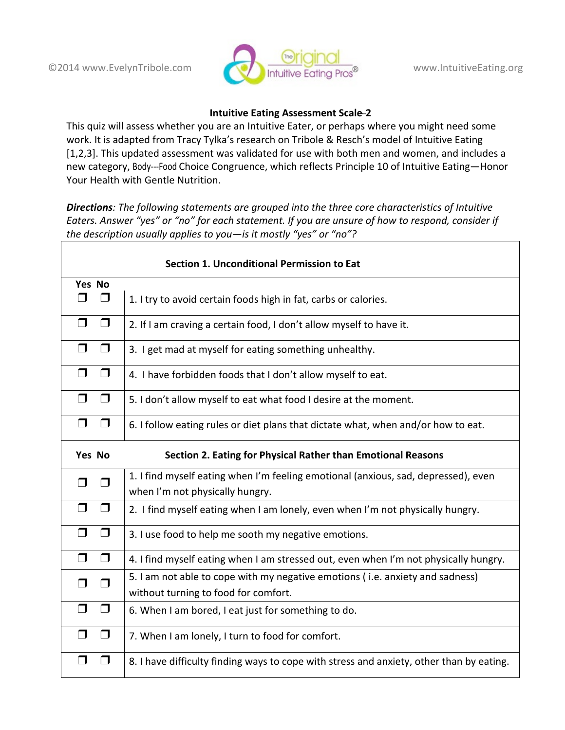

## **Intuitive Eating Assessment Scale-2**

This quiz will assess whether you are an Intuitive Eater, or perhaps where you might need some work. It is adapted from Tracy Tylka's research on Tribole & Resch's model of Intuitive Eating [1,2,3]. This updated assessment was validated for use with both men and women, and includes a new category, Body---Food Choice Congruence, which reflects Principle 10 of Intuitive Eating-Honor Your Health with Gentle Nutrition.

**Directions**: The following statements are grouped into the three core characteristics of Intuitive *Eaters. Answer "yes" or "no" for each statement. If you are unsure of how to respond, consider if the description usually applies to you—is it mostly "yes" or "no"?*

| <b>Section 1. Unconditional Permission to Eat</b> |                                                                                                                       |  |
|---------------------------------------------------|-----------------------------------------------------------------------------------------------------------------------|--|
|                                                   |                                                                                                                       |  |
| Yes No<br>$\Box$<br>$\Box$                        | 1. I try to avoid certain foods high in fat, carbs or calories.                                                       |  |
| $\Box$<br>$\sqcap$                                | 2. If I am craving a certain food, I don't allow myself to have it.                                                   |  |
| $\Box$<br>$\Box$                                  | 3. I get mad at myself for eating something unhealthy.                                                                |  |
| $\Box$<br>$\Box$                                  | 4. I have forbidden foods that I don't allow myself to eat.                                                           |  |
| $\Box$<br>$\Box$                                  | 5. I don't allow myself to eat what food I desire at the moment.                                                      |  |
| $\Box$<br>$\Box$                                  | 6. I follow eating rules or diet plans that dictate what, when and/or how to eat.                                     |  |
| Yes No                                            | Section 2. Eating for Physical Rather than Emotional Reasons                                                          |  |
|                                                   |                                                                                                                       |  |
| $\Box$<br>$\Box$                                  | 1. I find myself eating when I'm feeling emotional (anxious, sad, depressed), even<br>when I'm not physically hungry. |  |
| $\Box$<br>$\Box$                                  | 2. I find myself eating when I am lonely, even when I'm not physically hungry.                                        |  |
| $\Box$<br>$\Box$                                  | 3. I use food to help me sooth my negative emotions.                                                                  |  |
| $\Box$<br>$\Box$                                  | 4. I find myself eating when I am stressed out, even when I'm not physically hungry.                                  |  |
| $\Box$<br>□                                       | 5. I am not able to cope with my negative emotions (i.e. anxiety and sadness)<br>without turning to food for comfort. |  |
| $\Box$<br>$\Box$                                  | 6. When I am bored, I eat just for something to do.                                                                   |  |
| $\Box$<br>$\Box$                                  | 7. When I am lonely, I turn to food for comfort.                                                                      |  |